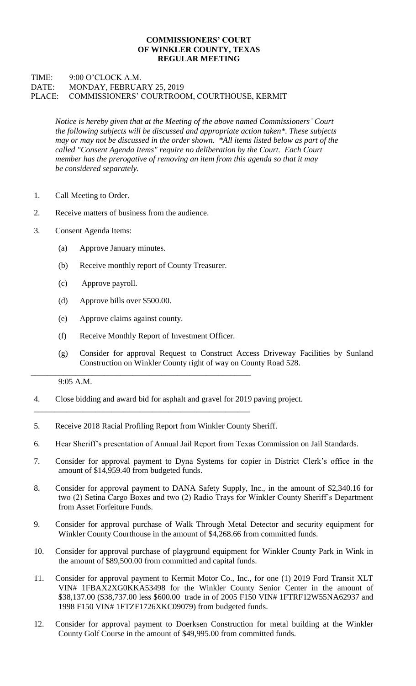## **COMMISSIONERS' COURT OF WINKLER COUNTY, TEXAS REGULAR MEETING**

## TIME: 9:00 O'CLOCK A.M. DATE: MONDAY, FEBRUARY 25, 2019 PLACE: COMMISSIONERS' COURTROOM, COURTHOUSE, KERMIT

*Notice is hereby given that at the Meeting of the above named Commissioners' Court the following subjects will be discussed and appropriate action taken\*. These subjects may or may not be discussed in the order shown. \*All items listed below as part of the called "Consent Agenda Items" require no deliberation by the Court. Each Court member has the prerogative of removing an item from this agenda so that it may be considered separately.*

- 1. Call Meeting to Order.
- 2. Receive matters of business from the audience.
- 3. Consent Agenda Items:
	- (a) Approve January minutes.
	- (b) Receive monthly report of County Treasurer.
	- (c) Approve payroll.
	- (d) Approve bills over \$500.00.
	- (e) Approve claims against county.
	- (f) Receive Monthly Report of Investment Officer.

\_\_\_\_\_\_\_\_\_\_\_\_\_\_\_\_\_\_\_\_\_\_\_\_\_\_\_\_\_\_\_\_\_\_\_\_\_\_\_\_\_\_\_\_\_\_\_\_\_\_\_\_\_\_

\_\_\_\_\_\_\_\_\_\_\_\_\_\_\_\_\_\_\_\_\_\_\_\_\_\_\_\_\_\_\_\_\_\_\_\_\_\_\_\_\_\_\_\_\_\_\_\_\_\_\_\_\_

(g) Consider for approval Request to Construct Access Driveway Facilities by Sunland Construction on Winkler County right of way on County Road 528.

## 9:05 A.M.

- 4. Close bidding and award bid for asphalt and gravel for 2019 paving project.
- 5. Receive 2018 Racial Profiling Report from Winkler County Sheriff.
- 6. Hear Sheriff's presentation of Annual Jail Report from Texas Commission on Jail Standards.
- 7. Consider for approval payment to Dyna Systems for copier in District Clerk's office in the amount of \$14,959.40 from budgeted funds.
- 8. Consider for approval payment to DANA Safety Supply, Inc., in the amount of \$2,340.16 for two (2) Setina Cargo Boxes and two (2) Radio Trays for Winkler County Sheriff's Department from Asset Forfeiture Funds.
- 9. Consider for approval purchase of Walk Through Metal Detector and security equipment for Winkler County Courthouse in the amount of \$4,268.66 from committed funds.
- 10. Consider for approval purchase of playground equipment for Winkler County Park in Wink in the amount of \$89,500.00 from committed and capital funds.
- 11. Consider for approval payment to Kermit Motor Co., Inc., for one (1) 2019 Ford Transit XLT VIN# 1FBAX2XG0KKA53498 for the Winkler County Senior Center in the amount of \$38,137.00 (\$38,737.00 less \$600.00 trade in of 2005 F150 VIN# 1FTRF12W55NA62937 and 1998 F150 VIN# 1FTZF1726XKC09079) from budgeted funds.
- 12. Consider for approval payment to Doerksen Construction for metal building at the Winkler County Golf Course in the amount of \$49,995.00 from committed funds.